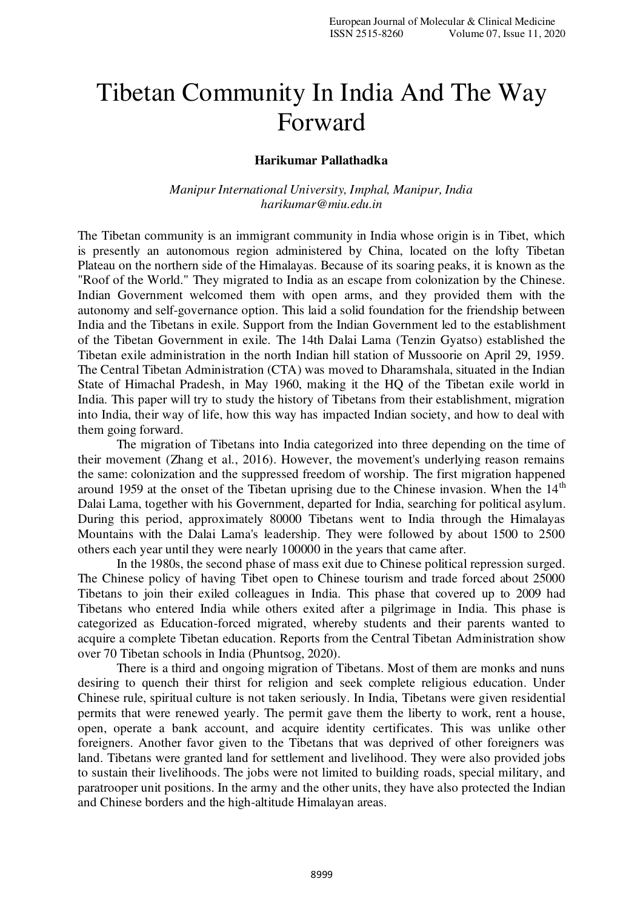## Tibetan Community In India And The Way Forward

## **Harikumar Pallathadka**

*Manipur International University, Imphal, Manipur, India harikumar@miu.edu.in* 

The Tibetan community is an immigrant community in India whose origin is in Tibet, which is presently an autonomous region administered by China, located on the lofty Tibetan Plateau on the northern side of the Himalayas. Because of its soaring peaks, it is known as the "Roof of the World." They migrated to India as an escape from colonization by the Chinese. Indian Government welcomed them with open arms, and they provided them with the autonomy and self-governance option. This laid a solid foundation for the friendship between India and the Tibetans in exile. Support from the Indian Government led to the establishment of the Tibetan Government in exile. The 14th Dalai Lama (Tenzin Gyatso) established the Tibetan exile administration in the north Indian hill station of Mussoorie on April 29, 1959. The Central Tibetan Administration (CTA) was moved to Dharamshala, situated in the Indian State of Himachal Pradesh, in May 1960, making it the HQ of the Tibetan exile world in India. This paper will try to study the history of Tibetans from their establishment, migration into India, their way of life, how this way has impacted Indian society, and how to deal with them going forward.

The migration of Tibetans into India categorized into three depending on the time of their movement (Zhang et al., 2016). However, the movement's underlying reason remains the same: colonization and the suppressed freedom of worship. The first migration happened around 1959 at the onset of the Tibetan uprising due to the Chinese invasion. When the 14<sup>th</sup> Dalai Lama, together with his Government, departed for India, searching for political asylum. During this period, approximately 80000 Tibetans went to India through the Himalayas Mountains with the Dalai Lama's leadership. They were followed by about 1500 to 2500 others each year until they were nearly 100000 in the years that came after.

In the 1980s, the second phase of mass exit due to Chinese political repression surged. The Chinese policy of having Tibet open to Chinese tourism and trade forced about 25000 Tibetans to join their exiled colleagues in India. This phase that covered up to 2009 had Tibetans who entered India while others exited after a pilgrimage in India. This phase is categorized as Education-forced migrated, whereby students and their parents wanted to acquire a complete Tibetan education. Reports from the Central Tibetan Administration show over 70 Tibetan schools in India (Phuntsog, 2020).

There is a third and ongoing migration of Tibetans. Most of them are monks and nuns desiring to quench their thirst for religion and seek complete religious education. Under Chinese rule, spiritual culture is not taken seriously. In India, Tibetans were given residential permits that were renewed yearly. The permit gave them the liberty to work, rent a house, open, operate a bank account, and acquire identity certificates. This was unlike other foreigners. Another favor given to the Tibetans that was deprived of other foreigners was land. Tibetans were granted land for settlement and livelihood. They were also provided jobs to sustain their livelihoods. The jobs were not limited to building roads, special military, and paratrooper unit positions. In the army and the other units, they have also protected the Indian and Chinese borders and the high-altitude Himalayan areas.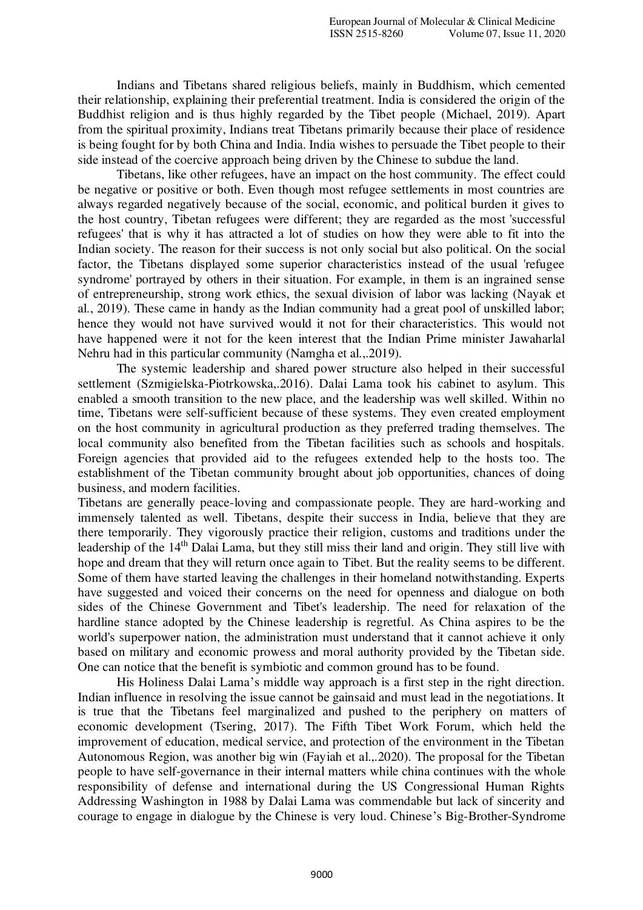Indians and Tibetans shared religious beliefs, mainly in Buddhism, which cemented their relationship, explaining their preferential treatment. India is considered the origin of the Buddhist religion and is thus highly regarded by the Tibet people (Michael, 2019). Apart from the spiritual proximity, Indians treat Tibetans primarily because their place of residence is being fought for by both China and India. India wishes to persuade the Tibet people to their side instead of the coercive approach being driven by the Chinese to subdue the land.

 Tibetans, like other refugees, have an impact on the host community. The effect could be negative or positive or both. Even though most refugee settlements in most countries are always regarded negatively because of the social, economic, and political burden it gives to the host country, Tibetan refugees were different; they are regarded as the most 'successful refugees' that is why it has attracted a lot of studies on how they were able to fit into the Indian society. The reason for their success is not only social but also political. On the social factor, the Tibetans displayed some superior characteristics instead of the usual 'refugee syndrome' portrayed by others in their situation. For example, in them is an ingrained sense of entrepreneurship, strong work ethics, the sexual division of labor was lacking (Nayak et al., 2019). These came in handy as the Indian community had a great pool of unskilled labor; hence they would not have survived would it not for their characteristics. This would not have happened were it not for the keen interest that the Indian Prime minister Jawaharlal Nehru had in this particular community (Namgha et al.,.2019).

The systemic leadership and shared power structure also helped in their successful settlement (Szmigielska-Piotrkowska,.2016). Dalai Lama took his cabinet to asylum. This enabled a smooth transition to the new place, and the leadership was well skilled. Within no time, Tibetans were self-sufficient because of these systems. They even created employment on the host community in agricultural production as they preferred trading themselves. The local community also benefited from the Tibetan facilities such as schools and hospitals. Foreign agencies that provided aid to the refugees extended help to the hosts too. The establishment of the Tibetan community brought about job opportunities, chances of doing business, and modern facilities.

Tibetans are generally peace-loving and compassionate people. They are hard-working and immensely talented as well. Tibetans, despite their success in India, believe that they are there temporarily. They vigorously practice their religion, customs and traditions under the leadership of the 14<sup>th</sup> Dalai Lama, but they still miss their land and origin. They still live with hope and dream that they will return once again to Tibet. But the reality seems to be different. Some of them have started leaving the challenges in their homeland notwithstanding. Experts have suggested and voiced their concerns on the need for openness and dialogue on both sides of the Chinese Government and Tibet's leadership. The need for relaxation of the hardline stance adopted by the Chinese leadership is regretful. As China aspires to be the world's superpower nation, the administration must understand that it cannot achieve it only based on military and economic prowess and moral authority provided by the Tibetan side. One can notice that the benefit is symbiotic and common ground has to be found.

His Holiness Dalai Lama's middle way approach is a first step in the right direction. Indian influence in resolving the issue cannot be gainsaid and must lead in the negotiations. It is true that the Tibetans feel marginalized and pushed to the periphery on matters of economic development (Tsering, 2017). The Fifth Tibet Work Forum, which held the improvement of education, medical service, and protection of the environment in the Tibetan Autonomous Region, was another big win (Fayiah et al.,.2020). The proposal for the Tibetan people to have self-governance in their internal matters while china continues with the whole responsibility of defense and international during the US Congressional Human Rights Addressing Washington in 1988 by Dalai Lama was commendable but lack of sincerity and courage to engage in dialogue by the Chinese is very loud. Chinese's Big-Brother-Syndrome